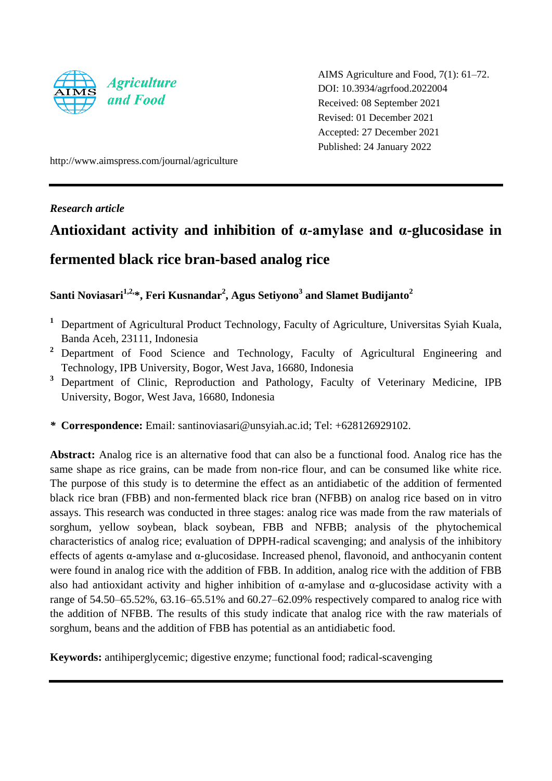

AIMS Agriculture and Food, 7(1): 61–72. DOI: 10.3934/agrfood.2022004 Received: 08 September 2021 Revised: 01 December 2021 Accepted: 27 December 2021 Published: 24 January 2022

http://www.aimspress.com/journal/agriculture

# *Research article*

# **Antioxidant activity and inhibition of α-amylase and α-glucosidase in fermented black rice bran-based analog rice**

**Santi Noviasari1,2, \*, Feri Kusnandar 2 , Agus Setiyono<sup>3</sup> and Slamet Budijanto<sup>2</sup>**

- <sup>1</sup> Department of Agricultural Product Technology, Faculty of Agriculture, Universitas Syiah Kuala, Banda Aceh, 23111, Indonesia
- **<sup>2</sup>** Department of Food Science and Technology, Faculty of Agricultural Engineering and Technology, IPB University, Bogor, West Java, 16680, Indonesia
- **<sup>3</sup>** Department of Clinic, Reproduction and Pathology, Faculty of Veterinary Medicine, IPB University, Bogor, West Java, 16680, Indonesia

*\** **Correspondence:** Email: santinoviasari@unsyiah.ac.id; Tel: +628126929102.

**Abstract:** Analog rice is an alternative food that can also be a functional food. Analog rice has the same shape as rice grains, can be made from non-rice flour, and can be consumed like white rice. The purpose of this study is to determine the effect as an antidiabetic of the addition of fermented black rice bran (FBB) and non-fermented black rice bran (NFBB) on analog rice based on in vitro assays. This research was conducted in three stages: analog rice was made from the raw materials of sorghum, yellow soybean, black soybean, FBB and NFBB; analysis of the phytochemical characteristics of analog rice; evaluation of DPPH-radical scavenging; and analysis of the inhibitory effects of agents α-amylase and α-glucosidase. Increased phenol, flavonoid, and anthocyanin content were found in analog rice with the addition of FBB. In addition, analog rice with the addition of FBB also had antioxidant activity and higher inhibition of α-amylase and α-glucosidase activity with a range of 54.50–65.52%, 63.16–65.51% and 60.27–62.09% respectively compared to analog rice with the addition of NFBB. The results of this study indicate that analog rice with the raw materials of sorghum, beans and the addition of FBB has potential as an antidiabetic food.

**Keywords:** antihiperglycemic; digestive enzyme; functional food; radical-scavenging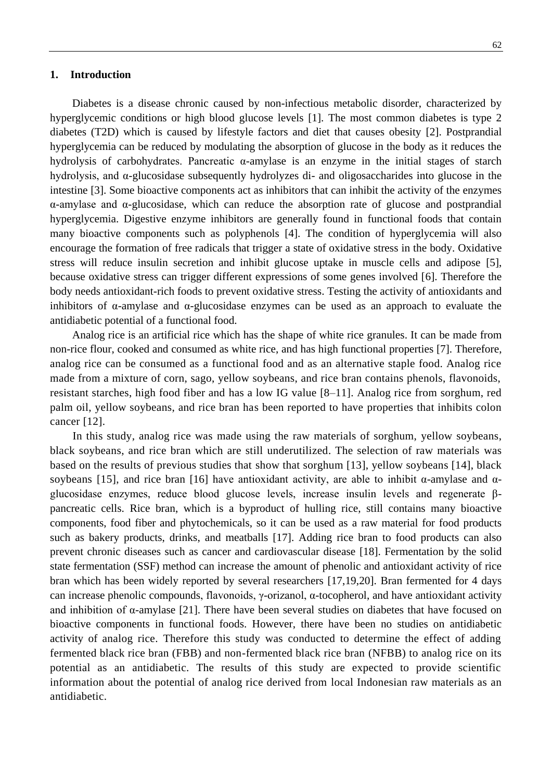# **1. Introduction**

Diabetes is a disease chronic caused by non-infectious metabolic disorder, characterized by hyperglycemic conditions or high blood glucose levels [1]. The most common diabetes is type 2 diabetes (T2D) which is caused by lifestyle factors and diet that causes obesity [2]. Postprandial hyperglycemia can be reduced by modulating the absorption of glucose in the body as it reduces the hydrolysis of carbohydrates. Pancreatic α-amylase is an enzyme in the initial stages of starch hydrolysis, and α-glucosidase subsequently hydrolyzes di- and oligosaccharides into glucose in the intestine [3]. Some bioactive components act as inhibitors that can inhibit the activity of the enzymes α-amylase and α-glucosidase, which can reduce the absorption rate of glucose and postprandial hyperglycemia. Digestive enzyme inhibitors are generally found in functional foods that contain many bioactive components such as polyphenols [4]. The condition of hyperglycemia will also encourage the formation of free radicals that trigger a state of oxidative stress in the body. Oxidative stress will reduce insulin secretion and inhibit glucose uptake in muscle cells and adipose [5], because oxidative stress can trigger different expressions of some genes involved [6]. Therefore the body needs antioxidant-rich foods to prevent oxidative stress. Testing the activity of antioxidants and inhibitors of  $\alpha$ -amylase and  $\alpha$ -glucosidase enzymes can be used as an approach to evaluate the antidiabetic potential of a functional food.

Analog rice is an artificial rice which has the shape of white rice granules. It can be made from non-rice flour, cooked and consumed as white rice, and has high functional properties [7]. Therefore, analog rice can be consumed as a functional food and as an alternative staple food. Analog rice made from a mixture of corn, sago, yellow soybeans, and rice bran contains phenols, flavonoids, resistant starches, high food fiber and has a low IG value [8–11]. Analog rice from sorghum, red palm oil, yellow soybeans, and rice bran has been reported to have properties that inhibits colon cancer [12].

In this study, analog rice was made using the raw materials of sorghum, yellow soybeans, black soybeans, and rice bran which are still underutilized. The selection of raw materials was based on the results of previous studies that show that sorghum [13], yellow soybeans [14], black soybeans [15], and rice bran [16] have antioxidant activity, are able to inhibit  $\alpha$ -amylase and  $\alpha$ glucosidase enzymes, reduce blood glucose levels, increase insulin levels and regenerate βpancreatic cells. Rice bran, which is a byproduct of hulling rice, still contains many bioactive components, food fiber and phytochemicals, so it can be used as a raw material for food products such as bakery products, drinks, and meatballs [17]. Adding rice bran to food products can also prevent chronic diseases such as cancer and cardiovascular disease [18]. Fermentation by the solid state fermentation (SSF) method can increase the amount of phenolic and antioxidant activity of rice bran which has been widely reported by several researchers [17,19,20]. Bran fermented for 4 days can increase phenolic compounds, flavonoids, γ-orizanol, α-tocopherol, and have antioxidant activity and inhibition of  $\alpha$ -amylase [21]. There have been several studies on diabetes that have focused on bioactive components in functional foods. However, there have been no studies on antidiabetic activity of analog rice. Therefore this study was conducted to determine the effect of adding fermented black rice bran (FBB) and non-fermented black rice bran (NFBB) to analog rice on its potential as an antidiabetic. The results of this study are expected to provide scientific information about the potential of analog rice derived from local Indonesian raw materials as an antidiabetic.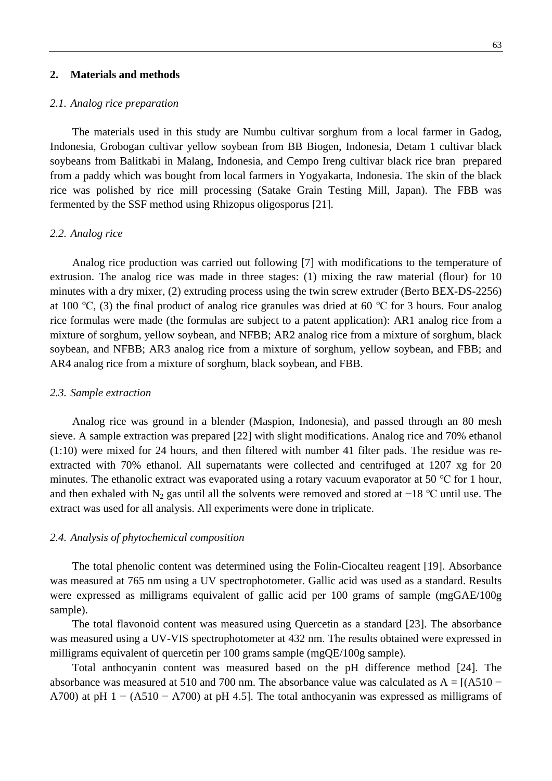# **2. Materials and methods**

#### *2.1. Analog rice preparation*

The materials used in this study are Numbu cultivar sorghum from a local farmer in Gadog, Indonesia, Grobogan cultivar yellow soybean from BB Biogen, Indonesia, Detam 1 cultivar black soybeans from Balitkabi in Malang, Indonesia, and Cempo Ireng cultivar black rice bran prepared from a paddy which was bought from local farmers in Yogyakarta, Indonesia. The skin of the black rice was polished by rice mill processing (Satake Grain Testing Mill, Japan). The FBB was fermented by the SSF method using Rhizopus oligosporus [21].

#### *2.2. Analog rice*

Analog rice production was carried out following [7] with modifications to the temperature of extrusion. The analog rice was made in three stages: (1) mixing the raw material (flour) for 10 minutes with a dry mixer, (2) extruding process using the twin screw extruder (Berto BEX-DS-2256) at 100 ℃, (3) the final product of analog rice granules was dried at 60 ℃ for 3 hours. Four analog rice formulas were made (the formulas are subject to a patent application): AR1 analog rice from a mixture of sorghum, yellow soybean, and NFBB; AR2 analog rice from a mixture of sorghum, black soybean, and NFBB; AR3 analog rice from a mixture of sorghum, yellow soybean, and FBB; and AR4 analog rice from a mixture of sorghum, black soybean, and FBB.

# *2.3. Sample extraction*

Analog rice was ground in a blender (Maspion, Indonesia), and passed through an 80 mesh sieve. A sample extraction was prepared [22] with slight modifications. Analog rice and 70% ethanol (1:10) were mixed for 24 hours, and then filtered with number 41 filter pads. The residue was reextracted with 70% ethanol. All supernatants were collected and centrifuged at 1207 xg for 20 minutes. The ethanolic extract was evaporated using a rotary vacuum evaporator at 50 ℃ for 1 hour, and then exhaled with N<sub>2</sub> gas until all the solvents were removed and stored at −18 °C until use. The extract was used for all analysis. All experiments were done in triplicate.

#### *2.4. Analysis of phytochemical composition*

The total phenolic content was determined using the Folin-Ciocalteu reagent [19]. Absorbance was measured at 765 nm using a UV spectrophotometer. Gallic acid was used as a standard. Results were expressed as milligrams equivalent of gallic acid per 100 grams of sample (mgGAE/100g sample).

The total flavonoid content was measured using Quercetin as a standard [23]. The absorbance was measured using a UV-VIS spectrophotometer at 432 nm. The results obtained were expressed in milligrams equivalent of quercetin per 100 grams sample (mgQE/100g sample).

Total anthocyanin content was measured based on the pH difference method [24]. The absorbance was measured at 510 and 700 nm. The absorbance value was calculated as  $A = [(A510 -$ A700) at pH 1 – (A510 – A700) at pH 4.5]. The total anthocyanin was expressed as milligrams of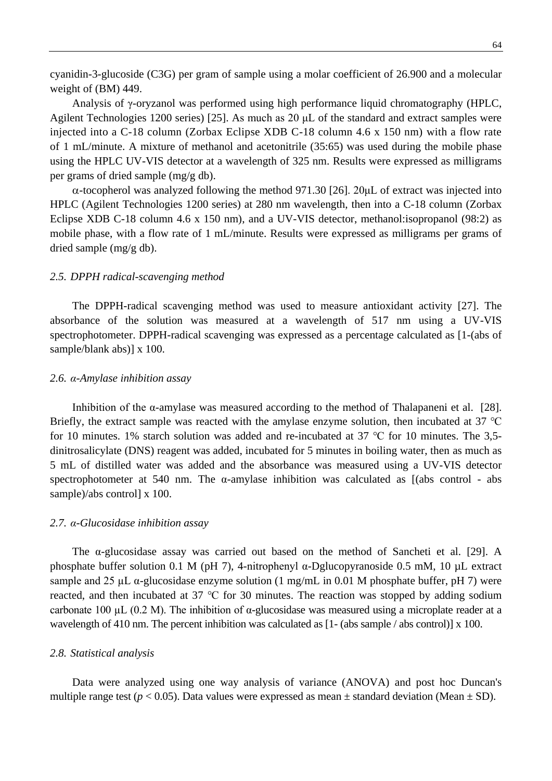cyanidin-3-glucoside (C3G) per gram of sample using a molar coefficient of 26.900 and a molecular weight of (BM) 449.

Analysis of γ-oryzanol was performed using high performance liquid chromatography (HPLC, Agilent Technologies 1200 series) [25]. As much as 20 μL of the standard and extract samples were injected into a C-18 column (Zorbax Eclipse XDB C-18 column 4.6 x 150 nm) with a flow rate of 1 mL/minute. A mixture of methanol and acetonitrile (35:65) was used during the mobile phase using the HPLC UV-VIS detector at a wavelength of 325 nm. Results were expressed as milligrams per grams of dried sample (mg/g db).

 $\alpha$ -tocopherol was analyzed following the method 971.30 [26]. 20 $\mu$ L of extract was injected into HPLC (Agilent Technologies 1200 series) at 280 nm wavelength, then into a C-18 column (Zorbax Eclipse XDB C-18 column 4.6 x 150 nm), and a UV-VIS detector, methanol:isopropanol (98:2) as mobile phase, with a flow rate of 1 mL/minute. Results were expressed as milligrams per grams of dried sample (mg/g db).

#### *2.5. DPPH radical-scavenging method*

The DPPH-radical scavenging method was used to measure antioxidant activity [27]. The absorbance of the solution was measured at a wavelength of 517 nm using a UV-VIS spectrophotometer. DPPH-radical scavenging was expressed as a percentage calculated as [1-(abs of sample/blank abs)] x 100.

## *2.6. α-Amylase inhibition assay*

Inhibition of the α-amylase was measured according to the method of Thalapaneni et al. [28]. Briefly, the extract sample was reacted with the amylase enzyme solution, then incubated at 37 ℃ for 10 minutes. 1% starch solution was added and re-incubated at 37 ℃ for 10 minutes. The 3,5 dinitrosalicylate (DNS) reagent was added, incubated for 5 minutes in boiling water, then as much as 5 mL of distilled water was added and the absorbance was measured using a UV-VIS detector spectrophotometer at 540 nm. The  $\alpha$ -amylase inhibition was calculated as [(abs control - abs sample)/abs control] x 100.

#### *2.7. α-Glucosidase inhibition assay*

The α-glucosidase assay was carried out based on the method of Sancheti et al. [29]. A phosphate buffer solution 0.1 M (pH 7), 4-nitrophenyl α-Dglucopyranoside 0.5 mM, 10 µL extract sample and 25  $\mu$ L  $\alpha$ -glucosidase enzyme solution (1 mg/mL in 0.01 M phosphate buffer, pH 7) were reacted, and then incubated at 37 ℃ for 30 minutes. The reaction was stopped by adding sodium carbonate 100  $\mu$ L (0.2 M). The inhibition of  $\alpha$ -glucosidase was measured using a microplate reader at a wavelength of 410 nm. The percent inhibition was calculated as [1- (abs sample / abs control)] x 100.

## *2.8. Statistical analysis*

Data were analyzed using one way analysis of variance (ANOVA) and post hoc Duncan's multiple range test ( $p < 0.05$ ). Data values were expressed as mean  $\pm$  standard deviation (Mean  $\pm$  SD).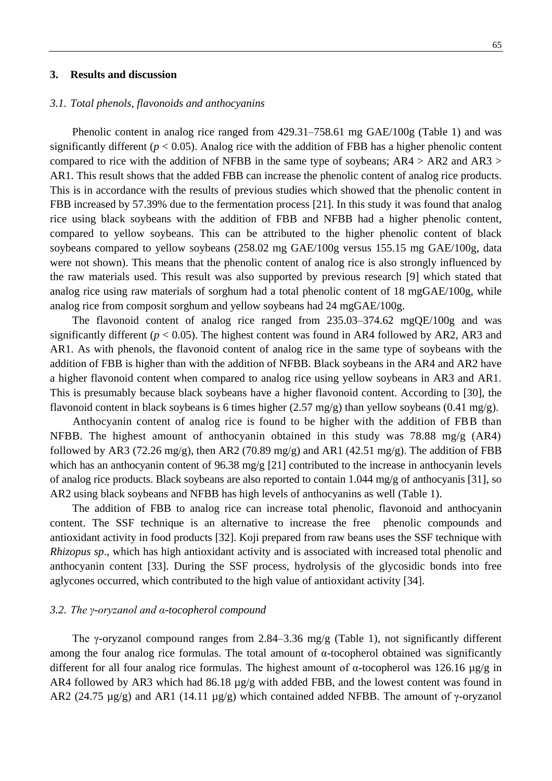#### **3. Results and discussion**

### *3.1. Total phenols, flavonoids and anthocyanins*

Phenolic content in analog rice ranged from 429.31–758.61 mg GAE/100g (Table 1) and was significantly different ( $p < 0.05$ ). Analog rice with the addition of FBB has a higher phenolic content compared to rice with the addition of NFBB in the same type of soybeans; AR4 > AR2 and AR3 > AR1. This result shows that the added FBB can increase the phenolic content of analog rice products. This is in accordance with the results of previous studies which showed that the phenolic content in FBB increased by 57.39% due to the fermentation process [21]. In this study it was found that analog rice using black soybeans with the addition of FBB and NFBB had a higher phenolic content, compared to yellow soybeans. This can be attributed to the higher phenolic content of black soybeans compared to yellow soybeans (258.02 mg GAE/100g versus 155.15 mg GAE/100g, data were not shown). This means that the phenolic content of analog rice is also strongly influenced by the raw materials used. This result was also supported by previous research [9] which stated that analog rice using raw materials of sorghum had a total phenolic content of 18 mgGAE/100g, while analog rice from composit sorghum and yellow soybeans had 24 mgGAE/100g.

The flavonoid content of analog rice ranged from 235.03–374.62 mgQE/100g and was significantly different ( $p < 0.05$ ). The highest content was found in AR4 followed by AR2, AR3 and AR1. As with phenols, the flavonoid content of analog rice in the same type of soybeans with the addition of FBB is higher than with the addition of NFBB. Black soybeans in the AR4 and AR2 have a higher flavonoid content when compared to analog rice using yellow soybeans in AR3 and AR1. This is presumably because black soybeans have a higher flavonoid content. According to [30], the flavonoid content in black soybeans is 6 times higher (2.57 mg/g) than yellow soybeans (0.41 mg/g).

Anthocyanin content of analog rice is found to be higher with the addition of FBB than NFBB. The highest amount of anthocyanin obtained in this study was 78.88 mg/g (AR4) followed by AR3 (72.26 mg/g), then AR2 (70.89 mg/g) and AR1 (42.51 mg/g). The addition of FBB which has an anthocyanin content of 96.38 mg/g [21] contributed to the increase in anthocyanin levels of analog rice products. Black soybeans are also reported to contain 1.044 mg/g of anthocyanis [31], so AR2 using black soybeans and NFBB has high levels of anthocyanins as well (Table 1).

The addition of FBB to analog rice can increase total phenolic, flavonoid and anthocyanin content. The SSF technique is an alternative to increase the free phenolic compounds and antioxidant activity in food products [32]. Koji prepared from raw beans uses the SSF technique with *Rhizopus sp*., which has high antioxidant activity and is associated with increased total phenolic and anthocyanin content [33]. During the SSF process, hydrolysis of the glycosidic bonds into free aglycones occurred, which contributed to the high value of antioxidant activity [34].

#### *3.2. The γ-oryzanol and α-tocopherol compound*

The γ-oryzanol compound ranges from 2.84–3.36 mg/g (Table 1), not significantly different among the four analog rice formulas. The total amount of α-tocopherol obtained was significantly different for all four analog rice formulas. The highest amount of  $\alpha$ -tocopherol was 126.16  $\mu$ g/g in AR4 followed by AR3 which had 86.18 µg/g with added FBB, and the lowest content was found in AR2 (24.75  $\mu$ g/g) and AR1 (14.11  $\mu$ g/g) which contained added NFBB. The amount of γ-oryzanol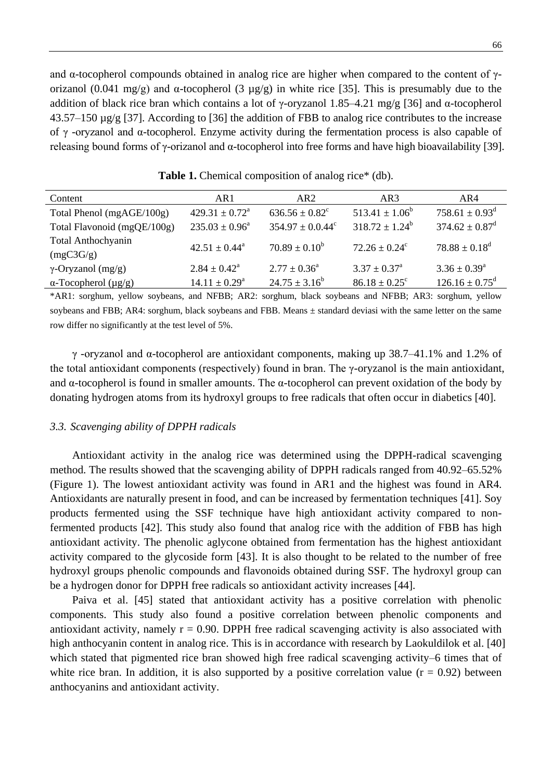and  $\alpha$ -tocopherol compounds obtained in analog rice are higher when compared to the content of  $\gamma$ orizanol (0.041 mg/g) and  $\alpha$ -tocopherol (3 µg/g) in white rice [35]. This is presumably due to the addition of black rice bran which contains a lot of γ-oryzanol 1.85–4.21 mg/g [36] and α-tocopherol 43.57–150 µg/g [37]. According to [36] the addition of FBB to analog rice contributes to the increase of γ -oryzanol and α-tocopherol. Enzyme activity during the fermentation process is also capable of releasing bound forms of γ-orizanol and α-tocopherol into free forms and have high bioavailability [39].

| Content                           | AR1                            | AR2                            | AR3                           | AR4                            |
|-----------------------------------|--------------------------------|--------------------------------|-------------------------------|--------------------------------|
| Total Phenol (mgAGE/100g)         | 429.31 $\pm$ 0.72 <sup>a</sup> | $636.56 \pm 0.82$ <sup>c</sup> | $513.41 \pm 1.06^b$           | 758.61 $\pm 0.93^d$            |
| Total Flavonoid (mgQE/100g)       | $235.03 \pm 0.96^a$            | $354.97 \pm 0.0.44$ °          | $318.72 \pm 1.24^b$           | $374.62 \pm 0.87$ <sup>d</sup> |
| Total Anthochyanin<br>(mgC3G/g)   | $42.51 \pm 0.44^{\circ}$       | $70.89 \pm 0.10^b$             | $72.26 \pm 0.24$ <sup>c</sup> | $78.88 \pm 0.18$ <sup>d</sup>  |
| $\gamma$ -Oryzanol (mg/g)         | $2.84 \pm 0.42^{\text{a}}$     | $2.77 \pm 0.36^{\circ}$        | $3.37 \pm 0.37^{\text{a}}$    | $3.36 \pm 0.39^{\circ}$        |
| $\alpha$ -Tocopherol ( $\mu$ g/g) | $14.11 \pm 0.29^{\text{a}}$    | $24.75 \pm 3.16^b$             | $86.18 \pm 0.25$ <sup>c</sup> | $126.16 \pm 0.75^{\text{d}}$   |

**Table 1.** Chemical composition of analog rice\* (db).

\*AR1: sorghum, yellow soybeans, and NFBB; AR2: sorghum, black soybeans and NFBB; AR3: sorghum, yellow soybeans and FBB; AR4: sorghum, black soybeans and FBB. Means  $\pm$  standard deviasi with the same letter on the same row differ no significantly at the test level of 5%.

γ -oryzanol and α-tocopherol are antioxidant components, making up 38.7–41.1% and 1.2% of the total antioxidant components (respectively) found in bran. The γ-oryzanol is the main antioxidant, and  $\alpha$ -tocopherol is found in smaller amounts. The  $\alpha$ -tocopherol can prevent oxidation of the body by donating hydrogen atoms from its hydroxyl groups to free radicals that often occur in diabetics [40].

## *3.3. Scavenging ability of DPPH radicals*

Antioxidant activity in the analog rice was determined using the DPPH-radical scavenging method. The results showed that the scavenging ability of DPPH radicals ranged from 40.92–65.52% (Figure 1). The lowest antioxidant activity was found in AR1 and the highest was found in AR4. Antioxidants are naturally present in food, and can be increased by fermentation techniques [41]. Soy products fermented using the SSF technique have high antioxidant activity compared to nonfermented products [42]. This study also found that analog rice with the addition of FBB has high antioxidant activity. The phenolic aglycone obtained from fermentation has the highest antioxidant activity compared to the glycoside form [43]. It is also thought to be related to the number of free hydroxyl groups phenolic compounds and flavonoids obtained during SSF. The hydroxyl group can be a hydrogen donor for DPPH free radicals so antioxidant activity increases [44].

Paiva et al. [45] stated that antioxidant activity has a positive correlation with phenolic components. This study also found a positive correlation between phenolic components and antioxidant activity, namely  $r = 0.90$ . DPPH free radical scavenging activity is also associated with high anthocyanin content in analog rice. This is in accordance with research by Laokuldilok et al. [40] which stated that pigmented rice bran showed high free radical scavenging activity–6 times that of white rice bran. In addition, it is also supported by a positive correlation value ( $r = 0.92$ ) between anthocyanins and antioxidant activity.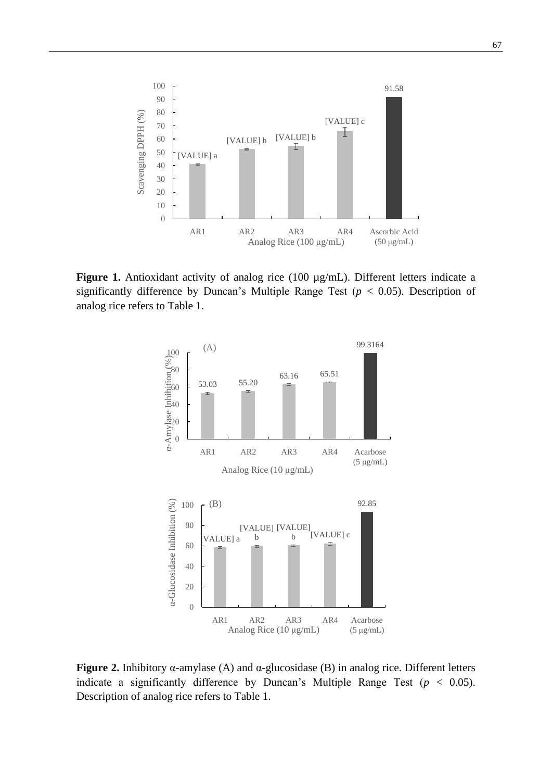

**Figure 1.** Antioxidant activity of analog rice (100 µg/mL). Different letters indicate a significantly difference by Duncan's Multiple Range Test ( $p < 0.05$ ). Description of analog rice refers to Table 1.



**Figure 2.** Inhibitory α-amylase (A) and α-glucosidase (B) in analog rice. Different letters indicate a significantly difference by Duncan's Multiple Range Test  $(p < 0.05)$ . Description of analog rice refers to Table 1.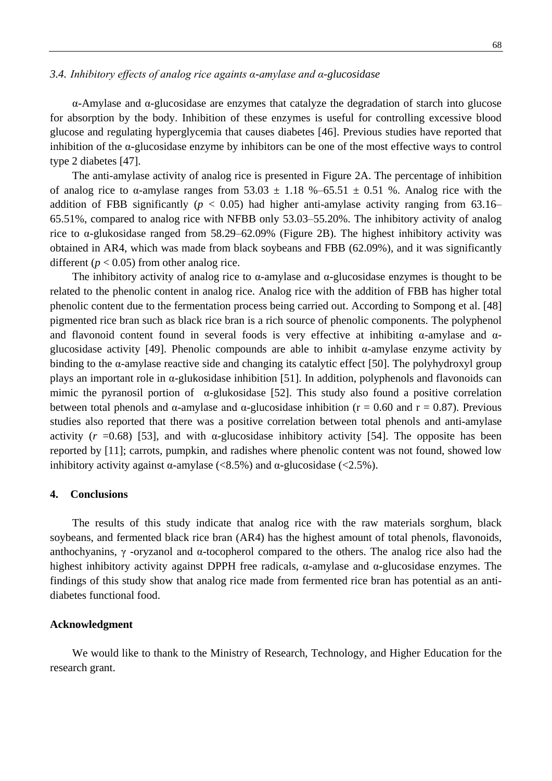#### *3.4. Inhibitory effects of analog rice againts α-amylase and α-glucosidase*

α-Amylase and α-glucosidase are enzymes that catalyze the degradation of starch into glucose for absorption by the body. Inhibition of these enzymes is useful for controlling excessive blood glucose and regulating hyperglycemia that causes diabetes [46]. Previous studies have reported that inhibition of the α-glucosidase enzyme by inhibitors can be one of the most effective ways to control type 2 diabetes [47].

The anti-amylase activity of analog rice is presented in Figure 2A. The percentage of inhibition of analog rice to  $\alpha$ -amylase ranges from 53.03  $\pm$  1.18 %–65.51  $\pm$  0.51 %. Analog rice with the addition of FBB significantly ( $p < 0.05$ ) had higher anti-amylase activity ranging from 63.16– 65.51%, compared to analog rice with NFBB only 53.03–55.20%. The inhibitory activity of analog rice to α-glukosidase ranged from 58.29–62.09% (Figure 2B). The highest inhibitory activity was obtained in AR4, which was made from black soybeans and FBB (62.09%), and it was significantly different ( $p < 0.05$ ) from other analog rice.

The inhibitory activity of analog rice to  $\alpha$ -amylase and  $\alpha$ -glucosidase enzymes is thought to be related to the phenolic content in analog rice. Analog rice with the addition of FBB has higher total phenolic content due to the fermentation process being carried out. According to Sompong et al. [48] pigmented rice bran such as black rice bran is a rich source of phenolic components. The polyphenol and flavonoid content found in several foods is very effective at inhibiting  $\alpha$ -amylase and  $\alpha$ glucosidase activity [49]. Phenolic compounds are able to inhibit  $\alpha$ -amylase enzyme activity by binding to the α-amylase reactive side and changing its catalytic effect [50]. The polyhydroxyl group plays an important role in  $\alpha$ -glukosidase inhibition [51]. In addition, polyphenols and flavonoids can mimic the pyranosil portion of α-glukosidase [52]. This study also found a positive correlation between total phenols and  $\alpha$ -amylase and  $\alpha$ -glucosidase inhibition (r = 0.60 and r = 0.87). Previous studies also reported that there was a positive correlation between total phenols and anti-amylase activity ( $r = 0.68$ ) [53], and with  $\alpha$ -glucosidase inhibitory activity [54]. The opposite has been reported by [11]; carrots, pumpkin, and radishes where phenolic content was not found, showed low inhibitory activity against  $\alpha$ -amylase (<8.5%) and  $\alpha$ -glucosidase (<2.5%).

# **4. Conclusions**

The results of this study indicate that analog rice with the raw materials sorghum, black soybeans, and fermented black rice bran (AR4) has the highest amount of total phenols, flavonoids, anthochyanins,  $\gamma$  -oryzanol and  $\alpha$ -tocopherol compared to the others. The analog rice also had the highest inhibitory activity against DPPH free radicals,  $\alpha$ -amylase and  $\alpha$ -glucosidase enzymes. The findings of this study show that analog rice made from fermented rice bran has potential as an antidiabetes functional food.

### **Acknowledgment**

We would like to thank to the Ministry of Research, Technology, and Higher Education for the research grant.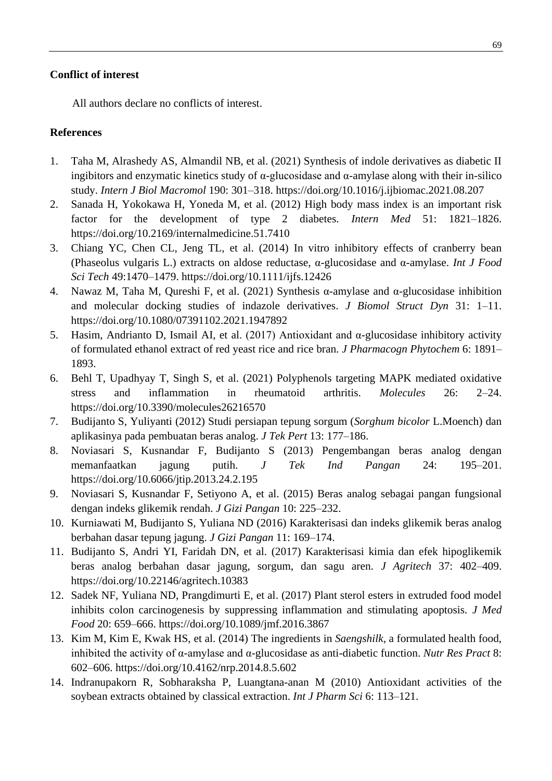# **Conflict of interest**

All authors declare no conflicts of interest.

# **References**

- 1. Taha M, Alrashedy AS, Almandil NB, et al. (2021) Synthesis of indole derivatives as diabetic II ingibitors and enzymatic kinetics study of  $\alpha$ -glucosidase and  $\alpha$ -amylase along with their in-silico study. *Intern J Biol Macromol* 190: 301–318. https://doi.org/10.1016/j.ijbiomac.2021.08.207
- 2. Sanada H, Yokokawa H, Yoneda M, et al. (2012) High body mass index is an important risk factor for the development of type 2 diabetes. *Intern Med* 51: 1821–1826. https://doi.org/10.2169/internalmedicine.51.7410
- 3. Chiang YC, Chen CL, Jeng TL, et al. (2014) In vitro inhibitory effects of cranberry bean (Phaseolus vulgaris L.) extracts on aldose reductase, α-glucosidase and α-amylase. *Int J Food Sci Tech* 49:1470–1479. https://doi.org/10.1111/ijfs.12426
- 4. Nawaz M, Taha M, Qureshi F, et al. (2021) Synthesis α-amylase and α-glucosidase inhibition and molecular docking studies of indazole derivatives. *J Biomol Struct Dyn* 31: 1–11. https://doi.org/10.1080/07391102.2021.1947892
- 5. Hasim, Andrianto D, Ismail AI, et al. (2017) Antioxidant and α-glucosidase inhibitory activity of formulated ethanol extract of red yeast rice and rice bran. *J Pharmacogn Phytochem* 6: 1891– 1893.
- 6. Behl T, Upadhyay T, Singh S, et al. (2021) Polyphenols targeting MAPK mediated oxidative stress and inflammation in rheumatoid arthritis. *Molecules* 26: 2–24. https://doi.org/10.3390/molecules26216570
- 7. Budijanto S, Yuliyanti (2012) Studi persiapan tepung sorgum (*Sorghum bicolor* L.Moench) dan aplikasinya pada pembuatan beras analog. *J Tek Pert* 13: 177–186.
- 8. Noviasari S, Kusnandar F, Budijanto S (2013) Pengembangan beras analog dengan memanfaatkan jagung putih. *J Tek Ind Pangan* 24: 195–201. https://doi.org/10.6066/jtip.2013.24.2.195
- 9. Noviasari S, Kusnandar F, Setiyono A, et al. (2015) Beras analog sebagai pangan fungsional dengan indeks glikemik rendah. *J Gizi Pangan* 10: 225–232.
- 10. Kurniawati M, Budijanto S, Yuliana ND (2016) Karakterisasi dan indeks glikemik beras analog berbahan dasar tepung jagung. *J Gizi Pangan* 11: 169–174.
- 11. Budijanto S, Andri YI, Faridah DN, et al. (2017) Karakterisasi kimia dan efek hipoglikemik beras analog berbahan dasar jagung, sorgum, dan sagu aren. *J Agritech* 37: 402–409. <https://doi.org/10.22146/agritech.10383>
- 12. Sadek NF, Yuliana ND, Prangdimurti E, et al. (2017) Plant sterol esters in extruded food model inhibits colon carcinogenesis by suppressing inflammation and stimulating apoptosis. *J Med Food* 20: 659–666. https://doi.org/10.1089/jmf.2016.3867
- 13. Kim M, Kim E, Kwak HS, et al. (2014) The ingredients in *Saengshilk*, a formulated health food, inhibited the activity of α-amylase and α-glucosidase as anti-diabetic function. *Nutr Res Pract* 8: 602–606. https://doi.org/10.4162/nrp.2014.8.5.602
- 14. Indranupakorn R, Sobharaksha P, Luangtana-anan M (2010) Antioxidant activities of the soybean extracts obtained by classical extraction. *Int J Pharm Sci* 6: 113–121.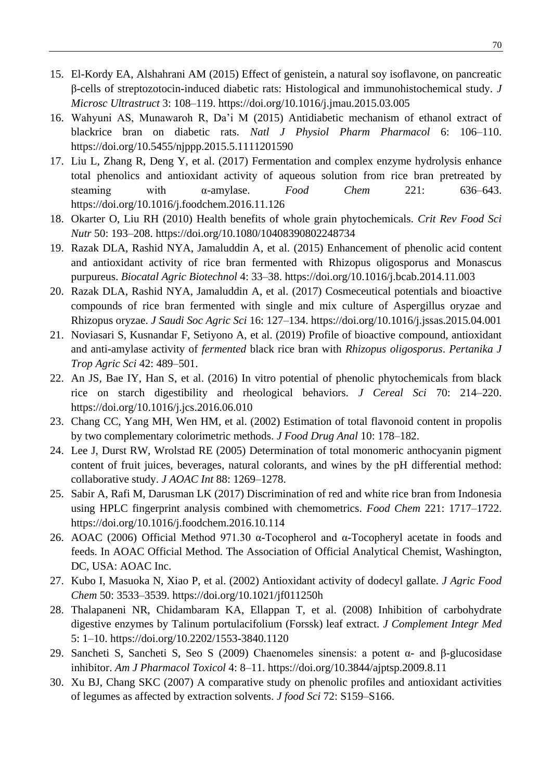- 15. El-Kordy EA, Alshahrani AM (2015) Effect of genistein, a natural soy isoflavone, on pancreatic β-cells of streptozotocin-induced diabetic rats: Histological and immunohistochemical study. *J Microsc Ultrastruct* 3: 108–119. https://doi.org/10.1016/j.jmau.2015.03.005
- 16. Wahyuni AS, Munawaroh R, Da'i M (2015) Antidiabetic mechanism of ethanol extract of blackrice bran on diabetic rats. *Natl J Physiol Pharm Pharmacol* 6: 106–110. https://doi.org/10.5455/njppp.2015.5.1111201590
- 17. Liu L, Zhang R, Deng Y, et al. (2017) Fermentation and complex enzyme hydrolysis enhance total phenolics and antioxidant activity of aqueous solution from rice bran pretreated by steaming with α-amylase. *Food Chem* 221: 636–643. https://doi.org/10.1016/j.foodchem.2016.11.126
- 18. Okarter O, Liu RH (2010) Health benefits of whole grain phytochemicals. *Crit Rev Food Sci Nutr* 50: 193–208. https://doi.org/10.1080/10408390802248734
- 19. Razak DLA, Rashid NYA, Jamaluddin A, et al. (2015) Enhancement of phenolic acid content and antioxidant activity of rice bran fermented with Rhizopus oligosporus and Monascus purpureus. *Biocatal Agric Biotechnol* 4: 33–38. https://doi.org/10.1016/j.bcab.2014.11.003
- 20. Razak DLA, Rashid NYA, Jamaluddin A, et al. (2017) Cosmeceutical potentials and bioactive compounds of rice bran fermented with single and mix culture of Aspergillus oryzae and Rhizopus oryzae. *J Saudi Soc Agric Sci* 16: 127–134. https://doi.org/10.1016/j.jssas.2015.04.001
- 21. Noviasari S, Kusnandar F, Setiyono A, et al. (2019) Profile of bioactive compound, antioxidant and anti-amylase activity of *fermented* black rice bran with *Rhizopus oligosporus*. *Pertanika J Trop Agric Sci* 42: 489–501.
- 22. An JS, Bae IY, Han S, et al. (2016) In vitro potential of phenolic phytochemicals from black rice on starch digestibility and rheological behaviors. *J Cereal Sci* 70: 214–220. https://doi.org/10.1016/j.jcs.2016.06.010
- 23. Chang CC, Yang MH, Wen HM, et al. (2002) Estimation of total flavonoid content in propolis by two complementary colorimetric methods. *J Food Drug Anal* 10: 178–182.
- 24. Lee J, Durst RW, Wrolstad RE (2005) Determination of total monomeric anthocyanin pigment content of fruit juices, beverages, natural colorants, and wines by the pH differential method: collaborative study. *J AOAC Int* 88: 1269–1278.
- 25. Sabir A, Rafi M, Darusman LK (2017) Discrimination of red and white rice bran from Indonesia using HPLC fingerprint analysis combined with chemometrics. *Food Chem* 221: 1717–1722. https://doi.org/10.1016/j.foodchem.2016.10.114
- 26. AOAC (2006) Official Method 971.30 α-Tocopherol and α-Tocopheryl acetate in foods and feeds. In AOAC Official Method. The Association of Official Analytical Chemist, Washington, DC, USA: AOAC Inc.
- 27. Kubo I, Masuoka N, Xiao P, et al. (2002) Antioxidant activity of dodecyl gallate. *J Agric Food Chem* 50: 3533–3539. https://doi.org/10.1021/jf011250h
- 28. Thalapaneni NR, Chidambaram KA, Ellappan T, et al. (2008) Inhibition of carbohydrate digestive enzymes by Talinum portulacifolium (Forssk) leaf extract. *J Complement Integr Med* 5: 1–10. https://doi.org/10.2202/1553-3840.1120
- 29. Sancheti S, Sancheti S, Seo S (2009) Chaenomeles sinensis: a potent α- and β-glucosidase inhibitor. *Am J Pharmacol Toxicol* 4: 8–11. https://doi.org/10.3844/ajptsp.2009.8.11
- 30. Xu BJ, Chang SKC (2007) A comparative study on phenolic profiles and antioxidant activities of legumes as affected by extraction solvents. *J food Sci* 72: S159–S166.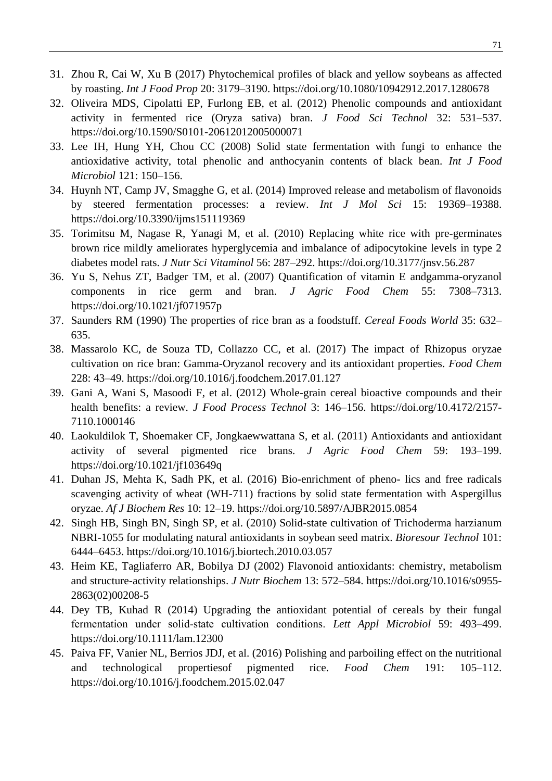- 31. Zhou R, Cai W, Xu B (2017) Phytochemical profiles of black and yellow soybeans as affected by roasting. *Int J Food Prop* 20: 3179–3190. https://doi.org/10.1080/10942912.2017.1280678
- 32. Oliveira MDS, Cipolatti EP, Furlong EB, et al. (2012) Phenolic compounds and antioxidant activity in fermented rice (Oryza sativa) bran. *J Food Sci Technol* 32: 531–537. https://doi.org/10.1590/S0101-20612012005000071
- 33. Lee IH, Hung YH, Chou CC (2008) Solid state fermentation with fungi to enhance the antioxidative activity, total phenolic and anthocyanin contents of black bean. *Int J Food Microbiol* 121: 150–156.
- 34. Huynh NT, Camp JV, Smagghe G, et al. (2014) Improved release and metabolism of flavonoids by steered fermentation processes: a review. *Int J Mol Sci* 15: 19369–19388. https://doi.org/10.3390/ijms151119369
- 35. Torimitsu M, Nagase R, Yanagi M, et al. (2010) Replacing white rice with pre-germinates brown rice mildly ameliorates hyperglycemia and imbalance of adipocytokine levels in type 2 diabetes model rats. *J Nutr Sci Vitaminol* 56: 287–292. https://doi.org/10.3177/jnsv.56.287
- 36. Yu S, Nehus ZT, Badger TM, et al. (2007) Quantification of vitamin E andgamma-oryzanol components in rice germ and bran. *J Agric Food Chem* 55: 7308–7313. https://doi.org/10.1021/jf071957p
- 37. Saunders RM (1990) The properties of rice bran as a foodstuff. *Cereal Foods World* 35: 632– 635.
- 38. Massarolo KC, de Souza TD, Collazzo CC, et al. (2017) The impact of Rhizopus oryzae cultivation on rice bran: Gamma-Oryzanol recovery and its antioxidant properties. *Food Chem* 228: 43–49. https://doi.org/10.1016/j.foodchem.2017.01.127
- 39. Gani A, Wani S, Masoodi F, et al. (2012) Whole-grain cereal bioactive compounds and their health benefits: a review. *J Food Process Technol* 3: 146–156. https://doi.org/10.4172/2157- 7110.1000146
- 40. Laokuldilok T, Shoemaker CF, Jongkaewwattana S, et al. (2011) Antioxidants and antioxidant activity of several pigmented rice brans. *J Agric Food Chem* 59: 193–199. https://doi.org/10.1021/jf103649q
- 41. Duhan JS, Mehta K, Sadh PK, et al. (2016) Bio-enrichment of pheno- lics and free radicals scavenging activity of wheat (WH-711) fractions by solid state fermentation with Aspergillus oryzae. *Af J Biochem Res* 10: 12–19. https://doi.org/10.5897/AJBR2015.0854
- 42. Singh HB, Singh BN, Singh SP, et al. (2010) Solid-state cultivation of Trichoderma harzianum NBRI-1055 for modulating natural antioxidants in soybean seed matrix. *Bioresour Technol* 101: 6444–6453. https://doi.org/10.1016/j.biortech.2010.03.057
- 43. Heim KE, Tagliaferro AR, Bobilya DJ (2002) Flavonoid antioxidants: chemistry, metabolism and structure-activity relationships. *J Nutr Biochem* 13: 572–584. https://doi.org/10.1016/s0955- 2863(02)00208-5
- 44. Dey TB, Kuhad R (2014) Upgrading the antioxidant potential of cereals by their fungal fermentation under solid‐state cultivation conditions. *Lett Appl Microbiol* 59: 493–499. https://doi.org/10.1111/lam.12300
- 45. Paiva FF, Vanier NL, Berrios JDJ, et al. (2016) Polishing and parboiling effect on the nutritional and technological propertiesof pigmented rice. *Food Chem* 191: 105–112. https://doi.org/10.1016/j.foodchem.2015.02.047